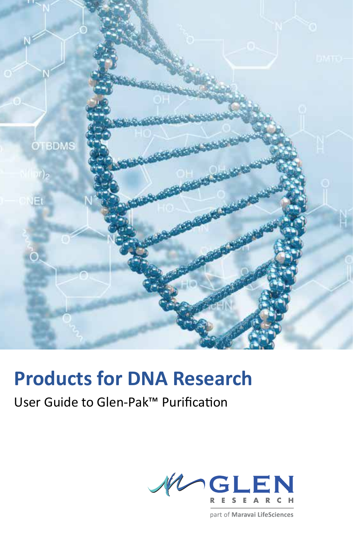

# **Products for DNA Research**

# User Guide to Glen-Pak™ Purification



part of Maravai LifeSciences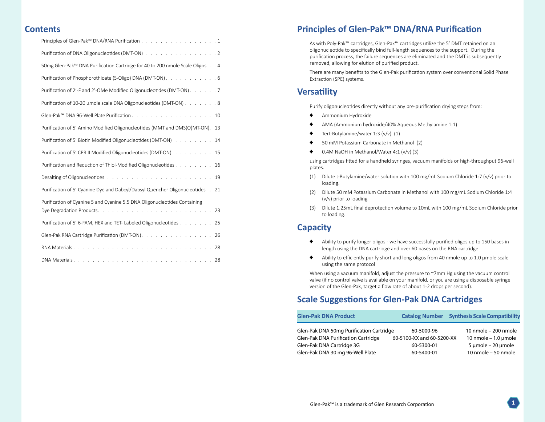# **Contents**

| Principles of Glen-Pak™ DNA/RNA Purification 1                                  |
|---------------------------------------------------------------------------------|
| Purification of DNA Oligonucleotides (DMT-ON) 2                                 |
| 50mg Glen-Pak™ DNA Purification Cartridge for 40 to 200 nmole Scale Oligos 4    |
| Purification of Phosphorothioate (S-Oligo) DNA (DMT-ON). 6                      |
| Purification of 2'-F and 2'-OMe Modified Oligonucleotides (DMT-ON) 7            |
| Purification of 10-20 umole scale DNA Oligonucleotides (DMT-ON) 8               |
|                                                                                 |
| Purification of 5' Amino Modified Oligonucleotides (MMT and DMS(O)MT-ON).<br>13 |
| Purification of 5' Biotin Modified Oligonucleotides (DMT-ON) 14                 |
| Purification of 5' CPR II Modified Oligonucleotides (DMT-ON) 15                 |
| Purification and Reduction of Thiol-Modified Oligonucleotides<br>16             |
|                                                                                 |
| Purification of 5' Cyanine Dye and Dabcyl/Dabsyl Quencher Oligonucleotides . 21 |
| Purification of Cyanine 5 and Cyanine 5.5 DNA Oligonucleotides Containing       |
| Purification of 5' 6-FAM, HEX and TET-Labeled Oligonucleotides 25               |
| Glen-Pak RNA Cartridge Purification (DMT-ON). 26                                |
|                                                                                 |
|                                                                                 |

# **Principles of Glen-Pak™ DNA/RNA Purification**

As with Poly-Pak™ cartridges, Glen-Pak™ cartridges utilize the 5' DMT retained on an oligonucleotide to specifically bind full-length sequences to the support. During the purification process, the failure sequences are eliminated and the DMT is subsequently removed, allowing for elution of purified product.

There are many benefits to the Glen-Pak purification system over conventional Solid Phase Extraction (SPE) systems.

# **Versatility**

Purify oligonucleotides directly without any pre-purification drying steps from:

- ♦ Ammonium Hydroxide
- AMA (Ammonium hydroxide/40% Aqueous Methylamine 1:1)
- $\blacklozenge$  Tert-Butylamine/water 1:3 (v/v) (1)
- ♦ 50 mM Potassium Carbonate in Methanol (2)
- ♦ 0.4M NaOH in Methanol/Water 4:1 (v/v) (3)

using cartridges fitted for a handheld syringes, vacuum manifolds or high-throughput 96-well plates.

- (1) Dilute t-Butylamine/water solution with 100 mg/mL Sodium Chloride 1:7 (v/v) prior to loading.
- (2) Dilute 50 mM Potassium Carbonate in Methanol with 100 mg/mL Sodium Chloride 1:4 (v/v) prior to loading
- (3) Dilute 1.25mL final deprotection volume to 10mL with 100 mg/mL Sodium Chloride prior to loading.

# **Capacity**

- ♦ Ability to purify longer oligos we have successfully purified oligos up to 150 bases in length using the DNA cartridge and over 60 bases on the RNA cartridge
- $\blacklozenge$  Ability to efficiently purify short and long oligos from 40 nmole up to 1.0 µmole scale using the same protocol

When using a vacuum manifold, adjust the pressure to ~7mm Hg using the vacuum control valve (if no control valve is available on your manifold, or you are using a disposable syringe version of the Glen-Pak, target a flow rate of about 1-2 drops per second).

# **Scale Suggestions for Glen-Pak DNA Cartridges**

| <b>Glen-Pak DNA Product</b>                |                           | <b>Catalog Number</b> Synthesis Scale Compatibility |
|--------------------------------------------|---------------------------|-----------------------------------------------------|
| Glen-Pak DNA 50mg Purification Cartridge   | 60-5000-96                | 10 nmole - 200 nmole                                |
| <b>Glen-Pak DNA Purification Cartridge</b> | 60-5100-XX and 60-5200-XX | 10 nmole $-1.0$ µmole                               |
| Glen-Pak DNA Cartridge 3G                  | 60-5300-01                | $5 \mu$ mole – 20 $\mu$ mole                        |
| Glen-Pak DNA 30 mg 96-Well Plate           | 60-5400-01                | 10 nmole - 50 nmole                                 |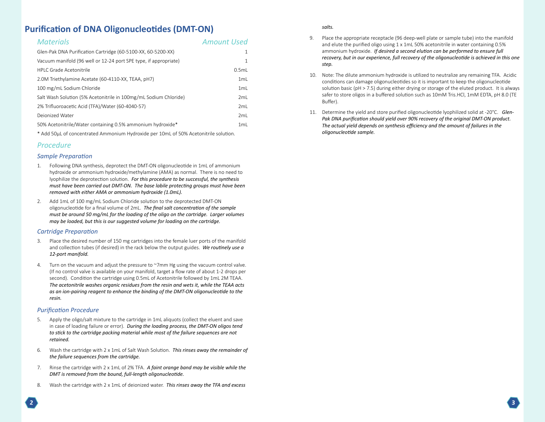# <span id="page-2-0"></span>**Purification of DNA Oligonucleotides (DMT-ON)**

| <b>Materials</b>                                                 | <b>Amount Used</b> |
|------------------------------------------------------------------|--------------------|
| Glen-Pak DNA Purification Cartridge (60-5100-XX, 60-5200-XX)     |                    |
| Vacuum manifold (96 well or 12-24 port SPE type, if appropriate) | 1                  |
| HPI C Grade Acetonitrile                                         | 0.5ml              |
| 2.0M Triethylamine Acetate (60-4110-XX, TEAA, pH7)               | 1ml                |
| 100 mg/mL Sodium Chloride                                        | 1ml                |
| Salt Wash Solution (5% Acetonitrile in 100mg/mL Sodium Chloride) | 2ml                |
| 2% Trifluoroacetic Acid (TFA)/Water (60-4040-57)                 | 2ml                |
| Dejonized Water                                                  | 2ml                |
| 50% Acetonitrile/Water containing 0.5% ammonium hydroxide*       | 1 <sub>ml</sub>    |

\* Add 50µL of concentrated Ammonium Hydroxide per 10mL of 50% Acetonitrile solution.

#### *Procedure*

#### *Sample Preparation*

- 1. Following DNA synthesis, deprotect the DMT-ON oligonucleotide in 1mL of ammonium hydroxide or ammonium hydroxide/methylamine (AMA) as normal. There is no need to lyophilize the deprotection solution. *For this procedure to be successful, the synthesis must have been carried out DMT-ON. The base labile protecting groups must have been removed with either AMA or ammonium hydroxide (1.0mL).*
- 2. Add 1mL of 100 mg/mL Sodium Chloride solution to the deprotected DMT-ON oligonucleotide for a final volume of 2mL. *The final salt concentration of the sample must be around 50 mg/mL for the loading of the oligo on the cartridge. Larger volumes may be loaded, but this is our suggested volume for loading on the cartridge.*

#### *Cartridge Preparation*

- 3. Place the desired number of 150 mg cartridges into the female luer ports of the manifold and collection tubes (if desired) in the rack below the output guides. *We routinely use a 12-port manifold.*
- 4. Turn on the vacuum and adjust the pressure to ~7mm Hg using the vacuum control valve. (If no control valve is available on your manifold, target a flow rate of about 1-2 drops per second). Condition the cartridge using 0.5mL of Acetonitrile followed by 1mL 2M TEAA. *The acetonitrile washes organic residues from the resin and wets it, while the TEAA acts as an ion-pairing reagent to enhance the binding of the DMT-ON oligonucleotide to the resin.*

#### *Purification Procedure*

- 5. Apply the oligo/salt mixture to the cartridge in 1mL aliquots (collect the eluent and save in case of loading failure or error). *During the loading process, the DMT-ON oligos tend to stick to the cartridge packing material while most of the failure sequences are not retained.*
- 6. Wash the cartridge with 2 x 1mL of Salt Wash Solution. *This rinses away the remainder of the failure sequences from the cartridge.*
- 7. Rinse the cartridge with 2 x 1mL of 2% TFA. *A faint orange band may be visible while the DMT is removed from the bound, full-length oligonucleotide.*
- 8. Wash the cartridge with 2 x 1mL of deionized water. *This rinses away the TFA and excess*

#### *salts.*

- 9. Place the appropriate receptacle (96 deep-well plate or sample tube) into the manifold and elute the purified oligo using 1 x 1mL 50% acetonitrile in water containing 0.5% ammonium hydroxide. *If desired a second elution can be performed to ensure full recovery, but in our experience, full recovery of the oligonucleotide is achieved in this one step.*
- 10. Note: The dilute ammonium hydroxide is utilized to neutralize any remaining TFA. Acidic conditions can damage oligonucleotides so it is important to keep the oligonucleotide solution basic (pH > 7.5) during either drying or storage of the eluted product. It is always safer to store oligos in a buffered solution such as 10mM Tris.HCl, 1mM EDTA, pH 8.0 (TE Buffer).
- 11. Determine the yield and store purified oligonucleotide lyophilized solid at -20°C. *Glen-Pak DNA purification should yield over 90% recovery of the original DMT-ON product. The actual yield depends on synthesis efficiency and the amount of failures in the oligonucleotide sample.*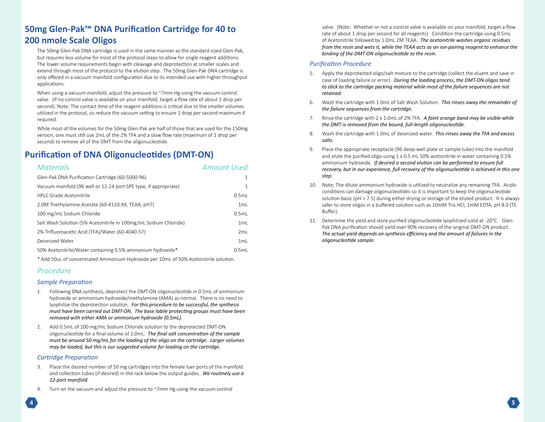# <span id="page-3-0"></span>**50mg Glen-Pak™ DNA Purification Cartridge for 40 to 200 nmole Scale Oligos**

The 50mg Glen-Pak DNA cartridge is used in the same manner as the standard sized Glen-Pak, but requires less volume for most of the protocol steps to allow for single reagent additions. The lower volume requirements begin with cleavage and deprotection at smaller scales and extend through most of the protocol to the elution step. The 50mg Glen-Pak DNA cartridge is only offered in a vacuum manifold configuration due to its intended use with higher throughput applications.

When using a vacuum manifold, adjust the pressure to ~7mm Hg using the vacuum control valve. (If no control valve is available on your manifold, target a flow rate of about 1 drop per second). Note: The contact time of the reagent additions is critical due to the smaller volumes utilized in the protocol, so reduce the vacuum setting to ensure 1 drop per second maximum if required.

While most of the volumes for the 50mg Glen-Pak are half of those that are used for the 150mg version, one must still use 2mL of the 2% TFA and a slow flow rate (maximum of 1 drop per second) to remove all of the DMT from the oligonucleotide.

# **Purification of DNA Oligonucleotides (DMT-ON)**

| <b>Materials</b>                                                 | <b>Amount Used</b> |
|------------------------------------------------------------------|--------------------|
| Glen-Pak DNA Purification Cartridge (60-5000-96)                 |                    |
| Vacuum manifold (96 well or 12-24 port SPE type, if appropriate) |                    |
| HPI C Grade Acetonitrile                                         | 0.5ml              |
| 2.0M Triethylamine Acetate (60-4110-XX, TEAA, pH7)               | 1ml                |
| 100 mg/mL Sodium Chloride                                        | 0.5ml              |
| Salt Wash Solution (5% Acetonitrile in 100mg/mL Sodium Chloride) | 1ml                |
| 2% Trifluoroacetic Acid (TFA)/Water (60-4040-57)                 | 2ml                |
| Dejonized Water                                                  | 1mL                |
| 50% Acetonitrile/Water containing 0.5% ammonium hydroxide*       | 0.5ml              |

\* Add 50uL of concentrated Ammonium Hydroxide per 10mL of 50% Acetonitrile solution.

#### *Procedure*

#### *Sample Preparation*

- 1. Following DNA synthesis, deprotect the DMT-ON oligonucleotide in 0.5mL of ammonium hydroxide or ammonium hydroxide/methylamine (AMA) as normal. There is no need to lyophilize the deprotection solution. *For this procedure to be successful, the synthesis must have been carried out DMT-ON. The base labile protecting groups must have been removed with either AMA or ammonium hydroxide (0.5mL).*
- 2. Add 0.5mL of 100 mg/mL Sodium Chloride solution to the deprotected DMT-ON oligonucleotide for a final volume of 1.0mL. *The final salt concentration of the sample must be around 50 mg/mL for the loading of the oligo on the cartridge. Larger volumes may be loaded, but this is our suggested volume for loading on the cartridge.*

#### *Cartridge Preparation*

- Place the desired number of 50 mg cartridges into the female luer ports of the manifold and collection tubes (if desired) in the rack below the output guides. *We routinely use a 12-port manifold.*
- 4. Turn on the vacuum and adjust the pressure to ~7mm Hg using the vacuum control

valve. (Note: Whether or not a control valve is available on your manifold, target a flow rate of about 1 drop per second for all reagents). Condition the cartridge using 0.5mL of Acetonitrile followed by 1.0mL 2M TEAA. *The acetonitrile washes organic residues from the resin and wets it, while the TEAA acts as an ion-pairing reagent to enhance the binding of the DMT-ON oligonucleotide to the resin.*

- 5. Apply the deprotected oligo/salt mixture to the cartridge (collect the eluent and save in case of loading failure or error). *During the loading process, the DMT-ON oligos tend to stick to the cartridge packing material while most of the failure sequences are not retained.*
- 6. Wash the cartridge with 1.0mL of Salt Wash Solution. *This rinses away the remainder of the failure sequences from the cartridge.*
- 7. Rinse the cartridge with 2 x 1.0mL of 2% TFA. *A faint orange band may be visible while the DMT is removed from the bound, full-length oligonucleotide.*
- 8. Wash the cartridge with 1.0mL of deionized water. *This rinses away the TFA and excess salts.*
- 9. Place the appropriate receptacle (96 deep-well plate or sample tube) into the manifold and elute the purified oligo using 1 x 0.5 mL 50% acetonitrile in water containing 0.5% ammonium hydroxide. *If desired a second elution can be performed to ensure full recovery, but in our experience, full recovery of the oligonucleotide is achieved in this one step.*
- 10. Note: The dilute ammonium hydroxide is utilized to neutralize any remaining TFA. Acidic conditions can damage oligonucleotides so it is important to keep the oligonucleotide solution basic (pH > 7.5) during either drying or storage of the eluted product. It is always safer to store oligos in a buffered solution such as 10mM Tris.HCl, 1mM EDTA, pH 8.0 (TE Buffer).
- 11. Determine the yield and store purified oligonucleotide lyophilized solid at -20°C. Glen-Pak DNA purification should yield over 90% recovery of the original DMT-ON product. *The actual yield depends on synthesis efficiency and the amount of failures in the oligonucleotide sample.*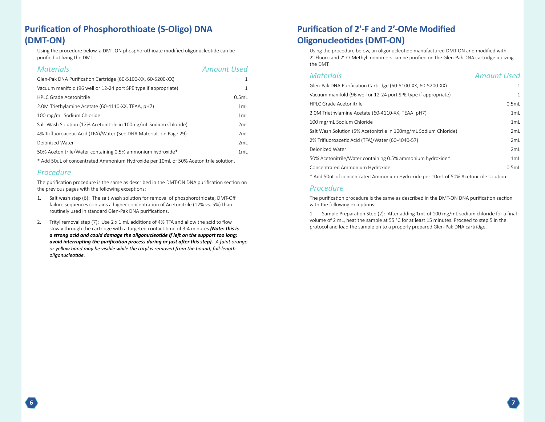# <span id="page-4-0"></span>**Purification of Phosphorothioate (S-Oligo) DNA (DMT-ON)**

Using the procedure below, a DMT-ON phosphorothioate modified oligonucleotide can be purified utilizing the DMT.

#### *Materials Amount Used*

| Glen-Pak DNA Purification Cartridge (60-5100-XX, 60-5200-XX)       |       |
|--------------------------------------------------------------------|-------|
| Vacuum manifold (96 well or 12-24 port SPE type if appropriate)    |       |
| HPI C Grade Acetonitrile                                           | 0.5ml |
| 2.0M Triethylamine Acetate (60-4110-XX, TEAA, pH7)                 | 1mL   |
| 100 mg/mL Sodium Chloride                                          | 1mL   |
| Salt Wash Solution (12% Acetonitrile in 100mg/mL Sodium Chloride)  | 2mL   |
| 4% Trifluoroacetic Acid (TFA)/Water (See DNA Materials on Page 29) | 2ml   |
| Dejonized Water                                                    | 2ml   |
| 50% Acetonitrile/Water containing 0.5% ammonium hydroxide*         | 1mL   |

\* Add 50uL of concentrated Ammonium Hydroxide per 10mL of 50% Acetonitrile solution.

#### *Procedure*

The purification procedure is the same as described in the DMT-ON DNA purification section on the previous pages with the following exceptions:

- 1. Salt wash step (6): The salt wash solution for removal of phosphorothioate, DMT-Off failure sequences contains a higher concentration of Acetonitrile (12% vs. 5%) than routinely used in standard Glen-Pak DNA purifications.
- 2. Trityl removal step (7): Use 2 x 1 mL additions of 4% TFA and allow the acid to flow slowly through the cartridge with a targeted contact time of 3-4 minutes *(Note: this is a strong acid and could damage the oligonucleotide if left on the support too long; avoid interrupting the purification process during or just after this step). A faint orange or yellow band may be visible while the trityl is removed from the bound, full-length oligonucleotide.*

# **Purification of 2'-F and 2'-OMe Modified Oligonucleotides (DMT-ON)**

Using the procedure below, an oligonucleotide manufactured DMT-ON and modified with 2'-Fluoro and 2'-O-Methyl monomers can be purified on the Glen-Pak DNA cartridge utilizing the DMT.

| <b>Materials</b>                                                 | <b>Amount Used</b> |
|------------------------------------------------------------------|--------------------|
| Glen-Pak DNA Purification Cartridge (60-5100-XX, 60-5200-XX)     | $\mathbf{1}$       |
| Vacuum manifold (96 well or 12-24 port SPE type if appropriate)  | 1.                 |
| <b>HPLC Grade Acetonitrile</b>                                   | 0.5mL              |
| 2.0M Triethylamine Acetate (60-4110-XX, TEAA, pH7)               | 1mL                |
| 100 mg/mL Sodium Chloride                                        | 1mL                |
| Salt Wash Solution (5% Acetonitrile in 100mg/mL Sodium Chloride) | 2mL                |
| 2% Trifluoroacetic Acid (TFA)/Water (60-4040-57)                 | 2mL                |
| Dejonized Water                                                  | 2mL                |
| 50% Acetonitrile/Water containing 0.5% ammonium hydroxide*       | 1mL                |
| Concentrated Ammonium Hydroxide                                  | 0.5mL              |
|                                                                  |                    |

\* Add 50uL of concentrated Ammonium Hydroxide per 10mL of 50% Acetonitrile solution.

#### *Procedure*

The purification procedure is the same as described in the DMT-ON DNA purification section with the following exceptions:

1. Sample Preparation Step (2): After adding 1mL of 100 mg/mL sodium chloride for a final volume of 2 mL, heat the sample at 55 °C for at least 15 minutes. Proceed to step 5 in the protocol and load the sample on to a properly prepared Glen-Pak DNA cartridge.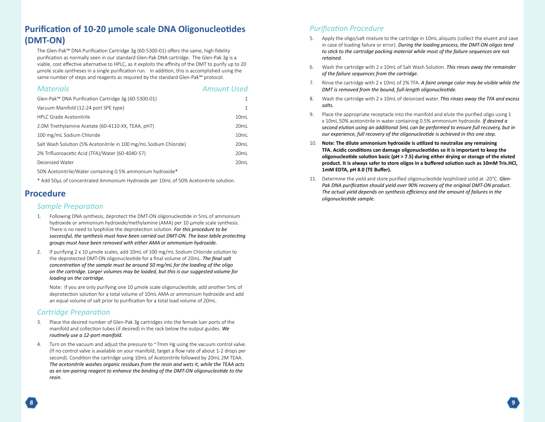# <span id="page-5-0"></span>**Purification of 10-20 µmole scale DNA Oligonucleotides (DMT-ON)**

The Glen-Pak™ DNA Purification Cartridge 3g (60-5300-01) offers the same, high fidelity purification as normally seen in our standard Glen-Pak DNA cartridge. The Glen-Pak 3g is a viable, cost effective alternative to HPLC, as it exploits the affinity of the DMT to purify up to 20 µmole scale syntheses in a single purification run. In addition, this is accomplished using the same number of steps and reagents as required by the standard Glen-Pak™ protocol.

| <b>Materials</b>                                                  | <b>Amount Used</b> |
|-------------------------------------------------------------------|--------------------|
| Glen-Pak™ DNA Purification Cartridge 3g (60-5300-01)              | 1                  |
| Vacuum Manifold (12-24 port SPE type)                             | 1                  |
| <b>HPI C Grade Acetonitrile</b>                                   | 10mL               |
| 2.0M Triethylamine Acetate (60-4110-XX, TEAA, pH7)                | 20mL               |
| 100 mg/mL Sodium Chloride                                         | 10mL               |
| Salt Wash Solution (5% Acetonitrile in 100 mg/mL Sodium Chloride) | 20mL               |
| 2% Trifluoroacetic Acid (TFA)/Water (60-4040-57)                  | 20mL               |
| Deionized Water                                                   | 20ml               |
|                                                                   |                    |

50% Acetonitrile/Water containing 0.5% ammonium hydroxide\*

\* Add 50µL of concentrated Ammonium Hydroxide per 10mL of 50% Acetonitrile solution.

## **Procedure**

#### *Sample Preparation*

- 1. Following DNA synthesis, deprotect the DMT-ON oligonucleotide in 5mL of ammonium hydroxide or ammonium hydroxide/methylamine (AMA) per 10 µmole scale synthesis. There is no need to lyophilize the deprotection solution. *For this procedure to be successful, the synthesis must have been carried out DMT-ON. The base labile protecting groups must have been removed with either AMA or ammonium hydroxide.*
- 2. If purifying 2 x 10 µmole scales, add 10mL of 100 mg/mL Sodium Chloride solution to the deprotected DMT-ON oligonucleotide for a final volume of 20mL. *The final salt concentration of the sample must be around 50 mg/mL for the loading of the oligo on the cartridge. Larger volumes may be loaded, but this is our suggested volume for loading on the cartridge.*

Note: If you are only purifying one 10 µmole scale oligonucleotide, add another 5mL of deprotection solution for a total volume of 10mL AMA or ammonium hydroxide and add an equal volume of salt prior to purification for a total load volume of 20mL.

#### *Cartridge Preparation*

- 3. Place the desired number of Glen-Pak 3g cartridges into the female luer ports of the manifold and collection tubes (if desired) in the rack below the output guides. *We routinely use a 12-port manifold.*
- 4. Turn on the vacuum and adjust the pressure to ~7mm Hg using the vacuum control valve. (If no control valve is available on your manifold, target a flow rate of about 1-2 drops per second). Condition the cartridge using 10mL of Acetonitrile followed by 20mL 2M TEAA. *The acetonitrile washes organic residues from the resin and wets it, while the TEAA acts as an ion-pairing reagent to enhance the binding of the DMT-ON oligonucleotide to the resin.*

- 5. Apply the oligo/salt mixture to the cartridge in 10mL aliquots (collect the eluent and save in case of loading failure or error). *During the loading process, the DMT-ON oligos tend to stick to the cartridge packing material while most of the failure sequences are not retained.*
- 6. Wash the cartridge with 2 x 10mL of Salt Wash Solution. *This rinses away the remainder of the failure sequences from the cartridge.*
- 7. Rinse the cartridge with 2 x 10mL of 2% TFA. *A faint orange color may be visible while the DMT is removed from the bound, full-length oligonucleotide.*
- 8. Wash the cartridge with 2 x 10mL of deionized water. *This rinses away the TFA and excess salts.*
- 9. Place the appropriate receptacle into the manifold and elute the purified oligo using 1 x 10mL 50% acetonitrile in water containing 0.5% ammonium hydroxide. *If desired a second elution using an additional 5mL can be performed to ensure full recovery, but in our experience, full recovery of the oligonucleotide is achieved in this one step.*
- 10. **Note: The dilute ammonium hydroxide is utilized to neutralize any remaining TFA. Acidic conditions can damage oligonucleotides so it is important to keep the oligonucleotide solution basic (pH > 7.5) during either drying or storage of the eluted product. It is always safer to store oligos in a buffered solution such as 10mM Tris.HCl, 1mM EDTA, pH 8.0 (TE Buffer).**
- 11. Determine the yield and store purified oligonucleotide lyophilized solid at -20°C. *Glen-Pak DNA purification should yield over 90% recovery of the original DMT-ON product. The actual yield depends on synthesis efficiency and the amount of failures in the oligonucleotide sample.*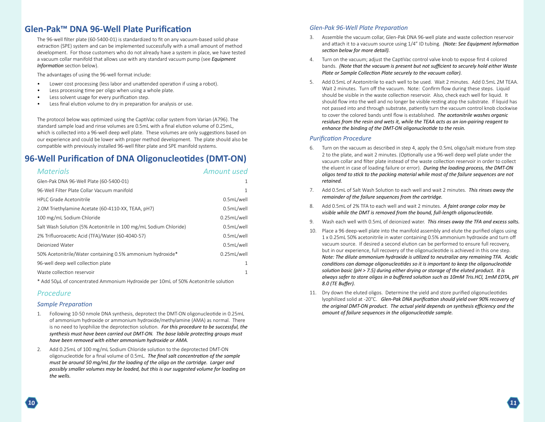# <span id="page-6-0"></span>**Glen-Pak™ DNA 96-Well Plate Purification**

The 96-well filter plate (60-5400-01) is standardized to fit on any vacuum-based solid phase extraction (SPE) system and can be implemented successfully with a small amount of method development. For those customers who do not already have a system in place, we have tested a vacuum collar manifold that allows use with any standard vacuum pump (see *Equipment Information* section below).

The advantages of using the 96-well format include:

- Lower cost processing (less labor and unattended operation if using a robot).
- Less processing time per oligo when using a whole plate.
- Less solvent usage for every purification step.
- Less final elution volume to dry in preparation for analysis or use.

The protocol below was optimized using the CaptiVac collar system from Varian (A796). The standard sample load and rinse volumes are 0.5mL with a final elution volume of 0.25mL, which is collected into a 96-well deep well plate. These volumes are only suggestions based on our experience and could be lower with proper method development. The plate should also be compatible with previously installed 96-well filter plate and SPE manifold systems.

# **96-Well Purification of DNA Oligonucleotides (DMT-ON)**

| <b>Materials</b>                                                  | Amount used |
|-------------------------------------------------------------------|-------------|
| Glen-Pak DNA 96-Well Plate (60-5400-01)                           | 1           |
| 96-Well Filter Plate Collar Vacuum manifold                       | 1           |
| <b>HPLC Grade Acetonitrile</b>                                    | 0.5mL/well  |
| 2.0M Triethylamine Acetate (60-4110-XX, TEAA, pH7)                | 0.5mL/well  |
| 100 mg/mL Sodium Chloride                                         | 0.25mL/well |
| Salt Wash Solution (5% Acetonitrile in 100 mg/mL Sodium Chloride) | 0.5mL/well  |
| 2% Trifluoroacetic Acid (TFA)/Water (60-4040-57)                  | 0.5mL/well  |
| Deionized Water                                                   | 0.5mL/well  |
| 50% Acetonitrile/Water containing 0.5% ammonium hydroxide*        | 0.25mL/well |
| 96-well deep well collection plate                                | 1           |
| Waste collection reservoir                                        | 1           |
|                                                                   |             |

\* Add 50µL of concentrated Ammonium Hydroxide per 10mL of 50% Acetonitrile solution

#### *Procedure*

#### *Sample Preparation*

- 1. Following 10-50 nmole DNA synthesis, deprotect the DMT-ON oligonucleotide in 0.25mL of ammonium hydroxide or ammonium hydroxide/methylamine (AMA) as normal. There is no need to lyophilize the deprotection solution. *For this procedure to be successful, the synthesis must have been carried out DMT-ON. The base labile protecting groups must have been removed with either ammonium hydroxide or AMA.*
- 2. Add 0.25mL of 100 mg/mL Sodium Chloride solution to the deprotected DMT-ON oligonucleotide for a final volume of 0.5mL. *The final salt concentration of the sample must be around 50 mg/mL for the loading of the oligo on the cartridge. Larger and possibly smaller volumes may be loaded, but this is our suggested volume for loading on the wells.*

#### *Glen-Pak 96-Well Plate Preparation*

- 3. Assemble the vacuum collar, Glen-Pak DNA 96-well plate and waste collection reservoir and attach it to a vacuum source using 1/4" ID tubing. *(Note: See Equipment Information section below for more detail).*
- 4. Turn on the vacuum; adjust the CaptiVac control valve knob to expose first 4 colored bands. *(Note that the vacuum is present but not sufficient to securely hold either Waste Plate or Sample Collection Plate securely to the vacuum collar).*
- 5. Add 0.5mL of Acetonitrile to each well to be used. Wait 2 minutes. Add 0.5mL 2M TEAA. Wait 2 minutes. Turn off the vacuum. Note: Confirm flow during these steps. Liquid should be visible in the waste collection reservoir. Also, check each well for liquid. It should flow into the well and no longer be visible resting atop the substrate. If liquid has not passed into and through substrate, patiently turn the vacuum control knob clockwise to cover the colored bands until flow is established. *The acetonitrile washes organic residues from the resin and wets it, while the TEAA acts as an ion-pairing reagent to enhance the binding of the DMT-ON oligonucleotide to the resin.*

- 6. Turn on the vacuum as described in step 4, apply the 0.5mL oligo/salt mixture from step 2 to the plate, and wait 2 minutes. (Optionally use a 96-well deep well plate under the vacuum collar and filter plate instead of the waste collection reservoir in order to collect the eluent in case of loading failure or error). *During the loading process, the DMT-ON oligos tend to stick to the packing material while most of the failure sequences are not retained.*
- 7. Add 0.5mL of Salt Wash Solution to each well and wait 2 minutes. *This rinses away the remainder of the failure sequences from the cartridge.*
- 8. Add 0.5mL of 2% TFA to each well and wait 2 minutes. *A faint orange color may be visible while the DMT is removed from the bound, full-length oligonucleotide.*
- 9. Wash each well with 0.5mL of deionized water. *This rinses away the TFA and excess salts.*
- 10. Place a 96 deep-well plate into the manifold assembly and elute the purified oligos using 1 x 0.25mL 50% acetonitrile in water containing 0.5% ammonium hydroxide and turn off vacuum source. If desired a second elution can be performed to ensure full recovery, but in our experience, full recovery of the oligonucleotide is achieved in this one step. *Note: The dilute ammonium hydroxide is utilized to neutralize any remaining TFA. Acidic conditions can damage oligonucleotides so it is important to keep the oligonucleotide solution basic (pH > 7.5) during either drying or storage of the eluted product. It is always safer to store oligos in a buffered solution such as 10mM Tris.HCl, 1mM EDTA, pH 8.0 (TE Buffer).*
- 11. Dry down the eluted oligos. Determine the yield and store purified oligonucleotides lyophilized solid at -20°C. *Glen-Pak DNA purification should yield over 90% recovery of the original DMT-ON product. The actual yield depends on synthesis efficiency and the amount of failure sequences in the oligonucleotide sample.*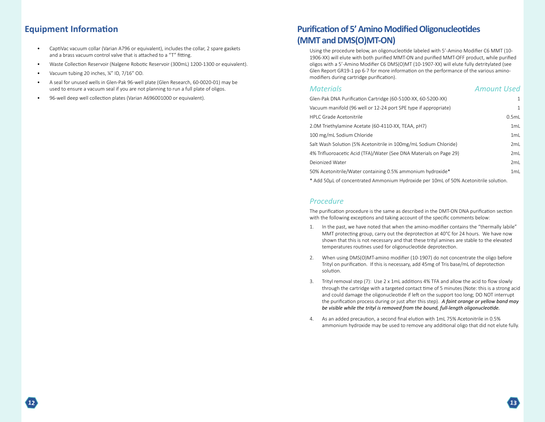# <span id="page-7-0"></span>**Equipment Information**

- CaptiVac vacuum collar (Varian A796 or equivalent), includes the collar, 2 spare gaskets and a brass vacuum control valve that is attached to a "T" fitting.
- Waste Collection Reservoir (Nalgene Robotic Reservoir (300mL) 1200-1300 or equivalent).
- Vacuum tubing 20 inches, ¼" ID, 7/16" OD.
- A seal for unused wells in Glen-Pak 96-well plate (Glen Research, 60-0020-01) may be used to ensure a vacuum seal if you are not planning to run a full plate of oligos.
- 96-well deep well collection plates (Varian A696001000 or equivalent).

# **Purification of 5' Amino Modified Oligonucleotides (MMT and DMS(O)MT-ON)**

Using the procedure below, an oligonucleotide labeled with 5'-Amino Modifier C6 MMT (10- 1906-XX) will elute with both purified MMT-ON and purified MMT-OFF product, while purified oligos with a 5'-Amino Modifier C6 DMS(O)MT (10-1907-XX) will elute fully detritylated (see Glen Report GR19-1 pp 6-7 for more information on the performance of the various aminomodifiers during cartridge purification).

#### *Materials Amount Used*

| Glen-Pak DNA Purification Cartridge (60-5100-XX, 60-5200-XX)       | $\mathbf{1}$ |
|--------------------------------------------------------------------|--------------|
| Vacuum manifold (96 well or 12-24 port SPE type if appropriate)    | $\mathbf{1}$ |
| <b>HPLC Grade Acetonitrile</b>                                     | 0.5mL        |
| 2.0M Triethylamine Acetate (60-4110-XX, TEAA, pH7)                 | 1mL          |
| 100 mg/mL Sodium Chloride                                          | 1mL          |
| Salt Wash Solution (5% Acetonitrile in 100mg/mL Sodium Chloride)   | 2ml          |
| 4% Trifluoroacetic Acid (TFA)/Water (See DNA Materials on Page 29) | 2ml          |
| Deionized Water                                                    | 2mL          |
| 50% Acetonitrile/Water containing 0.5% ammonium hydroxide*         | 1ml          |
|                                                                    |              |

\* Add 50µL of concentrated Ammonium Hydroxide per 10mL of 50% Acetonitrile solution.

#### *Procedure*

The purification procedure is the same as described in the DMT-ON DNA purification section with the following exceptions and taking account of the specific comments below:

- 1. In the past, we have noted that when the amino-modifier contains the "thermally labile" MMT protecting group, carry out the deprotection at 40°C for 24 hours. We have now shown that this is not necessary and that these trityl amines are stable to the elevated temperatures routines used for oligonucleotide deprotection.
- 2. When using DMS(O)MT-amino modifier (10-1907) do not concentrate the oligo before Trityl on purification. If this is necessary, add 45mg of Tris base/mL of deprotection solution.
- 3. Trityl removal step (7): Use 2 x 1mL additions 4% TFA and allow the acid to flow slowly through the cartridge with a targeted contact time of 5 minutes (Note: this is a strong acid and could damage the oligonucleotide if left on the support too long; DO NOT interrupt the purification process during or just after this step). *A faint orange or yellow band may be visible while the trityl is removed from the bound, full-length oligonucleotide.*
- 4. As an added precaution, a second final elution with 1mL 75% Acetonitrile in 0.5% ammonium hydroxide may be used to remove any additional oligo that did not elute fully.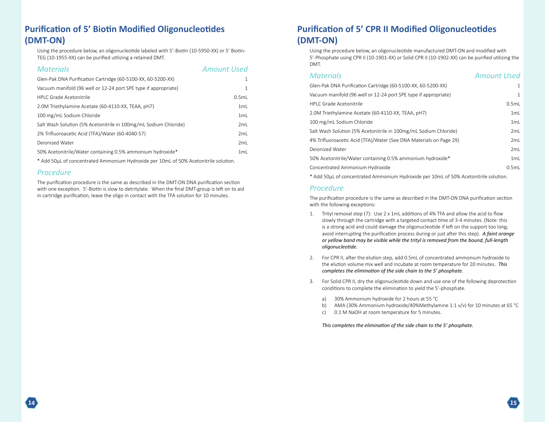# <span id="page-8-0"></span>**Purification of 5' Biotin Modified Oligonucleotides (DMT-ON)**

Using the procedure below, an oligonucleotide labeled with 5'-Biotin (10-5950-XX) or 5' Biotin-TEG (10-1955-XX) can be purified utilizing a retained DMT.

| <b>Materials</b>                                                 | <b>Amount Used</b> |
|------------------------------------------------------------------|--------------------|
| Glen-Pak DNA Purification Cartridge (60-5100-XX, 60-5200-XX)     |                    |
| Vacuum manifold (96 well or 12-24 port SPE type if appropriate)  |                    |
| HPI C Grade Acetonitrile                                         | 0.5ml              |
| 2.0M Triethylamine Acetate (60-4110-XX, TEAA, pH7)               | 1mL                |
| 100 mg/mL Sodium Chloride                                        | 1mL                |
| Salt Wash Solution (5% Acetonitrile in 100mg/mL Sodium Chloride) | 2mL                |
| 2% Trifluoroacetic Acid (TFA)/Water (60-4040-57)                 | 2ml                |
| Dejonized Water                                                  | 2mL                |
| 50% Acetonitrile/Water containing 0.5% ammonium hydroxide*       | 1mL                |

\* Add 50µL of concentrated Ammonium Hydroxide per 10mL of 50% Acetonitrile solution.

#### *Procedure*

The purification procedure is the same as described in the DMT-ON DNA purification section with one exception. 5'-Biotin is slow to detritylate. When the final DMT-group is left on to aid in cartridge purification, leave the oligo in contact with the TFA solution for 10 minutes.

# **Purification of 5' CPR II Modified Oligonucleotides (DMT-ON)**

Using the procedure below, an oligonucleotide manufactured DMT-ON and modified with 5'-Phosphate using CPR II (10-1901-XX) or Solid CPR II (10-1902-XX) can be purified utilizing the DMT.

| <b>Materials</b>                                                                     | <b>Amount Used</b> |
|--------------------------------------------------------------------------------------|--------------------|
| Glen-Pak DNA Purification Cartridge (60-5100-XX, 60-5200-XX)                         | $\mathbf{1}$       |
| Vacuum manifold (96 well or 12-24 port SPE type if appropriate)                      | $\mathbf{1}$       |
| <b>HPLC Grade Acetonitrile</b>                                                       | 0.5mL              |
| 2.0M Triethylamine Acetate (60-4110-XX, TEAA, pH7)                                   | 1mL                |
| 100 mg/mL Sodium Chloride                                                            | 1mL                |
| Salt Wash Solution (5% Acetonitrile in 100mg/mL Sodium Chloride)                     | 2mL                |
| 4% Trifluoroacetic Acid (TFA)/Water (See DNA Materials on Page 29)                   | 2mL                |
| Deionized Water                                                                      | 2mL                |
| 50% Acetonitrile/Water containing 0.5% ammonium hydroxide*                           | 1mL                |
| Concentrated Ammonium Hydroxide                                                      | 0.5mL              |
| * Add 50µL of concentrated Ammonium Hydroxide per 10mL of 50% Acetonitrile solution. |                    |

#### *Procedure*

The purification procedure is the same as described in the DMT-ON DNA purification section with the following exceptions:

- 1. Trityl removal step (7): Use 2 x 1mL additions of 4% TFA and allow the acid to flow slowly through the cartridge with a targeted contact time of 3-4 minutes. (Note: this is a strong acid and could damage the oligonucleotide if left on the support too long; avoid interrupting the purification process during or just after this step). *A faint orange or yellow band may be visible while the trityl is removed from the bound, full-length oligonucleotide.*
- 2. For CPR II, after the elution step, add 0.5mL of concentrated ammonium hydroxide to the elution volume mix well and incubate at room temperature for 20 minutes. *This completes the elimination of the side chain to the 5' phosphate.*
- 3. For Solid CPR II, dry the oligonucleotide down and use one of the following deprotection conditions to complete the elimination to yield the 5'-phosphate.
	- a) 30% Ammonium hydroxide for 2 hours at 55 °C
	- b) AMA (30% Ammonium hydroxide/40%Methylamine 1:1 v/v) for 10 minutes at 65 °C
	- c) 0.1 M NaOH at room temperature for 5 minutes.

*This completes the elimination of the side chain to the 5' phosphate.*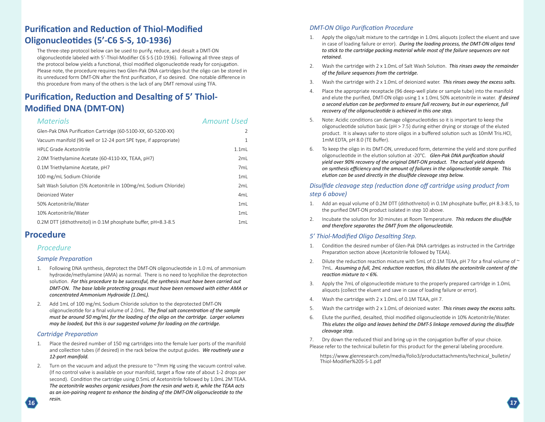# <span id="page-9-0"></span>**Purification and Reduction of Thiol-Modified Oligonucleotides (5'-C6 S-S, 10-1936)**

The three-step protocol below can be used to purify, reduce, and desalt a DMT-ON oligonucleotide labeled with 5'-Thiol-Modifier C6 S-S (10-1936). Following all three steps of the protocol below yields a functional, thiol modified oligonucleotide ready for conjugation. Please note, the procedure requires two Glen-Pak DNA cartridges but the oligo can be stored in its unreduced form DMT-ON after the first purification, if so desired. One notable difference in this procedure from many of the others is the lack of any DMT removal using TFA.

# **Purification, Reduction and Desalting of 5' Thiol-Modified DNA (DMT-ON)**

#### *Materials Amount Used*

| Glen-Pak DNA Purification Cartridge (60-5100-XX, 60-5200-XX)     | $\mathcal{P}$   |
|------------------------------------------------------------------|-----------------|
| Vacuum manifold (96 well or 12-24 port SPE type, if appropriate) | 1               |
| HPLC Grade Acetonitrile                                          | $1.1m$ L        |
| 2.0M Triethylamine Acetate (60-4110-XX, TEAA, pH7)               | 2ml             |
| 0.1M Triethylamine Acetate, pH7                                  | 7mL             |
| 100 mg/mL Sodium Chloride                                        | 1mL             |
| Salt Wash Solution (5% Acetonitrile in 100mg/mL Sodium Chloride) | 2ml             |
| Dejonized Water                                                  | 4 <sub>mL</sub> |
| 50% Acetonitrile/Water                                           | 1mL             |
| 10% Acetonitrile/Water                                           | 1mL             |
| 0.2M DTT (dithothreitol) in 0.1M phosphate buffer, pH=8.3-8.5    | 1mL             |

# **Procedure**

#### *Procedure*

#### *Sample Preparation*

- 1. Following DNA synthesis, deprotect the DMT-ON oligonucleotide in 1.0 mL of ammonium hydroxide/methylamine (AMA) as normal. There is no need to lyophilize the deprotection solution. *For this procedure to be successful, the synthesis must have been carried out DMT-ON. The base labile protecting groups must have been removed with either AMA or concentrated Ammonium Hydroxide (1.0mL).*
- 2. Add 1mL of 100 mg/mL Sodium Chloride solution to the deprotected DMT-ON oligonucleotide for a final volume of 2.0mL. *The final salt concentration of the sample must be around 50 mg/mL for the loading of the oligo on the cartridge. Larger volumes may be loaded, but this is our suggested volume for loading on the cartridge.*

#### *Cartridge Preparation*

- 1. Place the desired number of 150 mg cartridges into the female luer ports of the manifold and collection tubes (if desired) in the rack below the output guides. *We routinely use a 12-port manifold.*
- 2. Turn on the vacuum and adjust the pressure to ~7mm Hg using the vacuum control valve. (If no control valve is available on your manifold, target a flow rate of about 1-2 drops per second). Condition the cartridge using 0.5mL of Acetonitrile followed by 1.0mL 2M TEAA. *The acetonitrile washes organic residues from the resin and wets it, while the TEAA acts as an ion-pairing reagent to enhance the binding of the DMT-ON oligonucleotide to the*

#### *DMT-ON Oligo Purification Procedure*

- 1. Apply the oligo/salt mixture to the cartridge in 1.0mL aliquots (collect the eluent and save in case of loading failure or error). *During the loading process, the DMT-ON oligos tend to stick to the cartridge packing material while most of the failure sequences are not retained.*
- 2. Wash the cartridge with 2 x 1.0mL of Salt Wash Solution. *This rinses away the remainder of the failure sequences from the cartridge.*
- 3. Wash the cartridge with 2 x 1.0mL of deionized water. *This rinses away the excess salts.*
- 4. Place the appropriate receptacle (96 deep-well plate or sample tube) into the manifold and elute the purified, DMT-ON oligo using 1 x 1.0mL 50% acetonitrile in water. *If desired a second elution can be performed to ensure full recovery, but in our experience, full recovery of the oligonucleotide is achieved in this one step.*
- 5. Note: Acidic conditions can damage oligonucleotides so it is important to keep the oligonucleotide solution basic ( $pH > 7.5$ ) during either drying or storage of the eluted product. It is always safer to store oligos in a buffered solution such as 10mM Tris.HCl, 1mM EDTA, pH 8.0 (TE Buffer).
- 6. To keep the oligo in its DMT-ON, unreduced form, determine the yield and store purified oligonucleotide in the elution solution at -20°C. *Glen-Pak DNA purification should yield over 90% recovery of the original DMT-ON product. The actual yield depends on synthesis efficiency and the amount of failures in the oligonucleotide sample. This elution can be used directly in the disulfide cleavage step below.*

#### *Disulfide cleavage step (reduction done off cartridge using product from step 6 above)*

- 1. Add an equal volume of 0.2M DTT (dithothreitol) in 0.1M phosphate buffer, pH 8.3-8.5, to the purified DMT-ON product isolated in step 10 above.
- 2. Incubate the solution for 30 minutes at Room Temperature. *This reduces the disulfide and therefore separates the DMT from the oligonucleotide.*

#### *5' Thiol-Modified Oligo Desalting Step.*

- 1. Condition the desired number of Glen-Pak DNA cartridges as instructed in the Cartridge Preparation section above (Acetonitrile followed by TEAA).
- 2. Dilute the reduction reaction mixture with 5mL of 0.1M TEAA, pH 7 for a final volume of  $\sim$ 7mL. *Assuming a full, 2mL reduction reaction, this dilutes the acetonitrile content of the reaction mixture to < 6%.*
- 3. Apply the 7mL of oligonucleotide mixture to the properly prepared cartridge in 1.0mL aliquots (collect the eluent and save in case of loading failure or error).
- 4. Wash the cartridge with 2 x 1.0mL of 0.1M TEAA, pH 7.
- 5. Wash the cartridge with 2 x 1.0mL of deionized water. *This rinses away the excess salts.*
- 6. Elute the purified, desalted, thiol modified oligonucleotide in 10% Acetonitrile/Water. *This elutes the oligo and leaves behind the DMT-S linkage removed during the disulfide cleavage step.*
- 7. Dry down the reduced thiol and bring up in the conjugation buffer of your choice. Please refer to the technical bulletin for this product for the general labeling procedure.

*resin.*

[https://www.glenresearch.com/media/folio3/productattachments/technical\\_bulletin/](https://www.glenresearch.com/media/folio3/productattachments/technical_bulletin/Thiol-Modifier%20S-S-1.pdf)<br>Thiol-Modifier%20S-S-1.pdf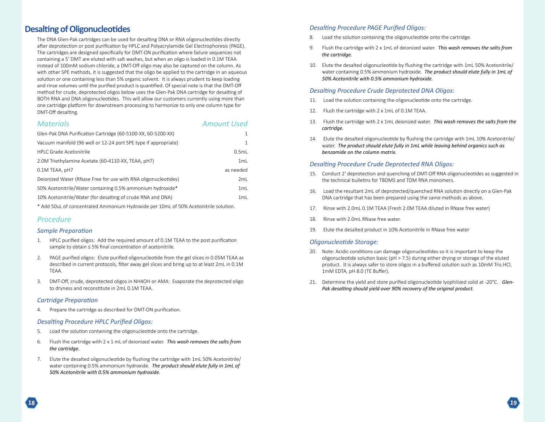# <span id="page-10-0"></span>**Desalting of Oligonucleotides**

The DNA Glen-Pak cartridges can be used for desalting DNA or RNA oligonucleotides directly after deprotection or post purification by HPLC and Polyacrylamide Gel Electrophoresis (PAGE). The cartridges are designed specifically for DMT-ON purification where failure sequences not containing a 5' DMT are eluted with salt washes, but when an oligo is loaded in 0.1M TEAA instead of 100mM sodium chloride, a DMT-Off oligo may also be captured on the column. As with other SPE methods, it is suggested that the oligo be applied to the cartridge in an aqueous solution or one containing less than 5% organic solvent. It is always prudent to keep loading and rinse volumes until the purified product is quantified. Of special note is that the DMT-Off method for crude, deprotected oligos below uses the Glen-Pak DNA cartridge for desalting of BOTH RNA and DNA oligonucleotides. This will allow our customers currently using more than one cartridge platform for downstream processing to harmonize to only one column type for DMT-Off desalting.

#### *Materials Amount Used*

| Glen-Pak DNA Purification Cartridge (60-5100-XX, 60-5200-XX)    | 1            |
|-----------------------------------------------------------------|--------------|
| Vacuum manifold (96 well or 12-24 port SPE type if appropriate) | $\mathbf{1}$ |
| <b>HPLC Grade Acetonitrile</b>                                  | 0.5mL        |
| 2.0M Triethylamine Acetate (60-4110-XX, TEAA, pH7)              | 1mL          |
| 0.1M TEAA, pH7                                                  | as needed    |
| Deionized Water (RNase Free for use with RNA oligonucleotides)  | 2mL          |
| 50% Acetonitrile/Water containing 0.5% ammonium hydroxide*      | 1mL          |
| 10% Acetonitrile/Water (for desalting of crude RNA and DNA)     | 1mL          |
|                                                                 |              |

\* Add 50uL of concentrated Ammonium Hydroxide per 10mL of 50% Acetonitrile solution.

#### *Procedure*

#### *Sample Preparation*

- 1. HPLC purified oligos: Add the required amount of 0.1M TEAA to the post purification sample to obtain ≤ 5% final concentration of acetonitrile.
- 2. PAGE purified oligos: Elute purified oligonucleotide from the gel slices in 0.05M TEAA as described in current protocols, filter away gel slices and bring up to at least 2mL in 0.1M TEAA.
- 3. DMT-Off, crude, deprotected oligos in NH4OH or AMA: Evaporate the deprotected oligo to dryness and reconstitute in 2mL 0.1M TEAA.

#### *Cartridge Preparation*

4. Prepare the cartridge as described for DMT-ON purification.

#### *Desalting Procedure HPLC Purified Oligos:*

- 5. Load the solution containing the oligonucleotide onto the cartridge.
- 6. Flush the cartridge with 2 x 1 mL of deionized water. *This wash removes the salts from the cartridge.*
- 7. Elute the desalted oligonucleotide by flushing the cartridge with 1mL 50% Acetonitrile/ water containing 0.5% ammonium hydroxide. *The product should elute fully in 1mL of 50% Acetonitrile with 0.5% ammonium hydroxide.*

#### *Desalting Procedure PAGE Purified Oligos:*

- 8. Load the solution containing the oligonucleotide onto the cartridge.
- 9. Flush the cartridge with 2 x 1mL of deionized water. *This wash removes the salts from the cartridge.*
- 10. Elute the desalted oligonucleotide by flushing the cartridge with 1mL 50% Acetonitrile/ water containing 0.5% ammonium hydroxide. *The product should elute fully in 1mL of 50% Acetonitrile with 0.5% ammonium hydroxide.*

#### *Desalting Procedure Crude Deprotected DNA Oligos:*

- 11. Load the solution containing the oligonucleotide onto the cartridge.
- 12. Flush the cartridge with 2 x 1mL of 0.1M TEAA.
- 13. Flush the cartridge with 2 x 1mL deionized water. *This wash removes the salts from the cartridge.*
- 14. Elute the desalted oligonucleotide by flushing the cartridge with 1mL 10% Acetonitrile/ water. *The product should elute fully in 1mL while leaving behind organics such as benzamide on the column matrix.*

#### *Desalting Procedure Crude Deprotected RNA Oligos:*

- 15. Conduct 2' deprotection and quenching of DMT-Off RNA oligonucleotides as suggested in the technical bulletins for TBDMS and TOM RNA monomers.
- 16. Load the resultant 2mL of deprotected/quenched RNA solution directly on a Glen-Pak DNA cartridge that has been prepared using the same methods as above.
- 17. Rinse with 2.0mL 0.1M TEAA (Fresh 2.0M TEAA diluted in RNase free water)
- 18. Rinse with 2.0mL RNase free water.
- 19. Elute the desalted product in 10% Acetonitrile in RNase free water

#### *Oligonucleotide Storage:*

- 20. Note: Acidic conditions can damage oligonucleotides so it is important to keep the oligonucleotide solution basic ( $pH > 7.5$ ) during either drying or storage of the eluted product. It is always safer to store oligos in a buffered solution such as 10mM Tris.HCl, 1mM EDTA, pH 8.0 (TE Buffer).
- 21. Determine the yield and store purified oligonucleotide lyophilized solid at -20°C. *Glen-Pak desalting should yield over 90% recovery of the original product.*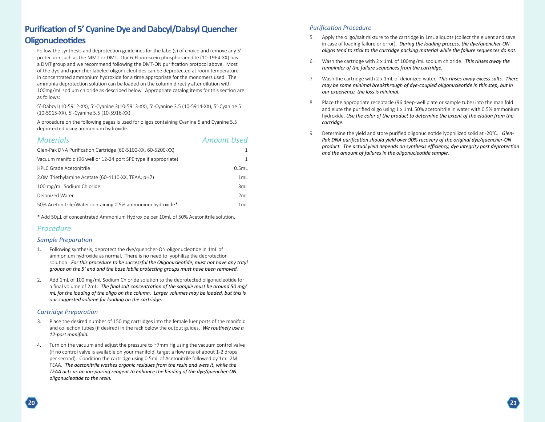# <span id="page-11-0"></span>**Purification of 5' Cyanine Dye and Dabcyl/Dabsyl Quencher Oligonucleotides**

Follow the synthesis and deprotection guidelines for the label(s) of choice and remove any 5' protection such as the MMT or DMT. Our 6-Fluorescein phosphoramidite (10-1964-XX) has a DMT group and we recommend following the DMT-ON purification protocol above. Most of the dye and quencher labeled oligonucleotides can be deprotected at room temperature in concentrated ammonium hydroxide for a time appropriate for the monomers used. The ammonia deprotection solution can be loaded on the column directly after dilution with 100mg/mL sodium chloride as described below. Appropriate catalog items for this section are as follows:

5'-Dabcyl (10-5912-XX), 5'-Cyanine 3(10-5913-XX), 5'-Cyanine 3.5 (10-5914-XX), 5'-Cyanine 5 (10-5915-XX), 5'-Cyanine 5.5 (10-5916-XX)

A procedure on the following pages is used for oligos containing Cyanine 5 and Cyanine 5.5 deprotected using ammonium hydroxide.

| <b>Materials</b>                                                | <b>Amount Used</b> |
|-----------------------------------------------------------------|--------------------|
| Glen-Pak DNA Purification Cartridge (60-5100-XX, 60-5200-XX)    |                    |
| Vacuum manifold (96 well or 12-24 port SPE type if appropriate) |                    |

| <b>HPLC Grade Acetonitrile</b>                             | 0.5ml           |
|------------------------------------------------------------|-----------------|
| 2.0M Triethylamine Acetate (60-4110-XX, TEAA, pH7)         | 1 <sub>ml</sub> |
| 100 mg/mL Sodium Chloride                                  | 3ml             |
| Dejonized Water                                            | 2ml             |
| 50% Acetonitrile/Water containing 0.5% ammonium hydroxide* | 1ml             |

\* Add 50µL of concentrated Ammonium Hydroxide per 10mL of 50% Acetonitrile solution.

#### *Procedure*

#### *Sample Preparation*

- 1. Following synthesis, deprotect the dye/quencher-ON oligonucleotide in 1mL of ammonium hydroxide as normal. There is no need to lyophilize the deprotection solution. *For this procedure to be successful the Oligonucleotide, must not have any trityl groups on the 5' end and the base labile protecting groups must have been removed.*
- 2. Add 1mL of 100 mg/mL Sodium Chloride solution to the deprotected oligonucleotide for a final volume of 2mL. *The final salt concentration of the sample must be around 50 mg/ mL for the loading of the oligo on the column. Larger volumes may be loaded, but this is our suggested volume for loading on the cartridge.*

#### *Cartridge Preparation*

- 3. Place the desired number of 150 mg cartridges into the female luer ports of the manifold and collection tubes (if desired) in the rack below the output guides. *We routinely use a 12-port manifold.*
- Turn on the vacuum and adjust the pressure to  $\gamma$ mm Hg using the vacuum control valve (if no control valve is available on your manifold, target a flow rate of about 1-2 drops per second). Condition the cartridge using 0.5mL of Acetonitrile followed by 1mL 2M TEAA. *The acetonitrile washes organic residues from the resin and wets it, while the TEAA acts as an ion-pairing reagent to enhance the binding of the dye/quencher-ON oligonucleotide to the resin.*

- 5. Apply the oligo/salt mixture to the cartridge in 1mL aliquots (collect the eluent and save in case of loading failure or error). *During the loading process, the dye/quencher-ON oligos tend to stick to the cartridge packing material while the failure sequences do not.*
- 6. Wash the cartridge with 2 x 1mL of 100mg/mL sodium chloride. *This rinses away the remainder of the failure sequences from the cartridge.*
- 7. Wash the cartridge with 2 x 1mL of deionized water. *This rinses away excess salts. There may be some minimal breakthrough of dye-coupled oligonucleotide in this step, but in our experience, the loss is minimal.*
- Place the appropriate receptacle (96 deep-well plate or sample tube) into the manifold and elute the purified oligo using 1 x 1mL 50% acetonitrile in water with 0.5% ammonium hydroxide. *Use the color of the product to determine the extent of the elution from the cartridge.*
- 9. Determine the yield and store purified oligonucleotide lyophilized solid at -20°C. *Glen-Pak DNA purification should yield over 90% recovery of the original dye/quencher-ON product. The actual yield depends on synthesis efficiency, dye integrity post deprotection and the amount of failures in the oligonucleotide sample.*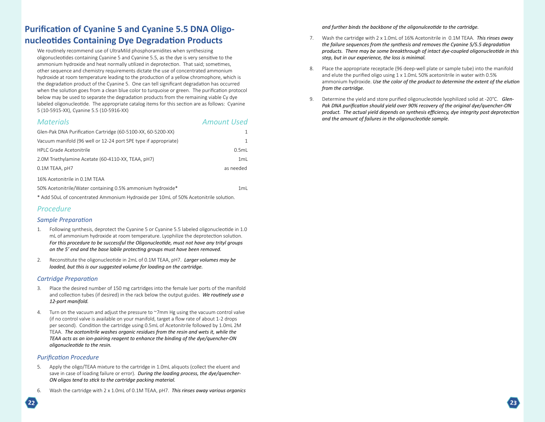# **Purification of Cyanine 5 and Cyanine 5.5 DNA Oligonucleotides Containing Dye Degradation Products**

We routinely recommend use of UltraMild phosphoramidites when synthesizing oligonucleotides containing Cyanine 5 and Cyanine 5.5, as the dye is very sensitive to the ammonium hydroxide and heat normally utilized in deprotection. That said; sometimes, other sequence and chemistry requirements dictate the use of concentrated ammonium hydroxide at room temperature leading to the production of a yellow chromophore, which is the degradation product of the Cyanine 5. One can tell significant degradation has occurred when the solution goes from a clean blue color to turquoise or green. The purification protocol below may be used to separate the degradation products from the remaining viable Cy dye labeled oligonucleotide. The appropriate catalog items for this section are as follows: Cyanine 5 (10-5915-XX), Cyanine 5.5 (10-5916-XX)

#### *Materials Amount Used*

| Glen-Pak DNA Purification Cartridge (60-5100-XX, 60-5200-XX)    |           |
|-----------------------------------------------------------------|-----------|
| Vacuum manifold (96 well or 12-24 port SPE type if appropriate) |           |
| HPLC Grade Acetonitrile                                         | 0.5ml     |
| 2.0M Triethylamine Acetate (60-4110-XX, TEAA, pH7)              | 1mL       |
| 0.1M TEAA, pH7                                                  | as needed |
| 16% Acetonitrile in 0.1M TEAA                                   |           |
| 50% Acetonitrile/Water containing 0.5% ammonium hydroxide*      | 1mL       |
|                                                                 |           |

\* Add 50uL of concentrated Ammonium Hydroxide per 10mL of 50% Acetonitrile solution.

#### *Procedure*

#### *Sample Preparation*

- 1. Following synthesis, deprotect the Cyanine 5 or Cyanine 5.5 labeled oligonucleotide in 1.0 mL of ammonium hydroxide at room temperature. Lyophilize the deprotection solution. *For this procedure to be successful the Oligonucleotide, must not have any trityl groups on the 5' end and the base labile protecting groups must have been removed.*
- 2. Reconstitute the oligonucleotide in 2mL of 0.1M TEAA, pH7. *Larger volumes may be loaded, but this is our suggested volume for loading on the cartridge.*

#### *Cartridge Preparation*

- 3. Place the desired number of 150 mg cartridges into the female luer ports of the manifold and collection tubes (if desired) in the rack below the output guides. *We routinely use a 12-port manifold.*
- 4. Turn on the vacuum and adjust the pressure to ~7mm Hg using the vacuum control valve (if no control valve is available on your manifold, target a flow rate of about 1-2 drops per second). Condition the cartridge using 0.5mL of Acetonitrile followed by 1.0mL 2M TEAA. *The acetonitrile washes organic residues from the resin and wets it, while the TEAA acts as an ion-pairing reagent to enhance the binding of the dye/quencher-ON oligonucleotide to the resin.*

#### *Purification Procedure*

- 5. Apply the oligo/TEAA mixture to the cartridge in 1.0mL aliquots (collect the eluent and save in case of loading failure or error). *During the loading process, the dye/quencher-ON oligos tend to stick to the cartridge packing material.*
- 6. Wash the cartridge with 2 x 1.0mL of 0.1M TEAA, pH7. *This rinses away various organics*

*and further binds the backbone of the oligonulceotide to the cartridge.*

- 7. Wash the cartridge with 2 x 1.0mL of 16% Acetonitrile in 0.1M TEAA. *This rinses away the failure sequences from the synthesis and removes the Cyanine 5/5.5 degradation products. There may be some breakthrough of intact dye-coupled oligonucleotide in this step, but in our experience, the loss is minimal.*
- 8. Place the appropriate receptacle (96 deep-well plate or sample tube) into the manifold and elute the purified oligo using 1 x 1.0mL 50% acetonitrile in water with 0.5% ammonium hydroxide. *Use the color of the product to determine the extent of the elution from the cartridge.*
- 9. Determine the yield and store purified oligonucleotide lyophilized solid at -20°C. *Glen-Pak DNA purification should yield over 90% recovery of the original dye/quencher-ON product. The actual yield depends on synthesis efficiency, dye integrity post deprotection and the amount of failures in the oligonucleotide sample.*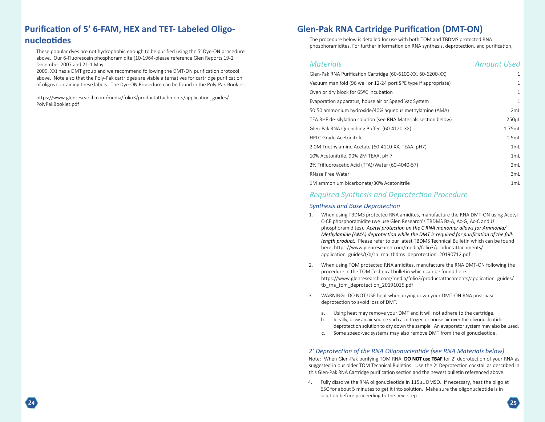# <span id="page-13-0"></span>**Purification of 5' 6-FAM, HEX and TET- Labeled Oligonucleotides**

These popular dyes are not hydrophobic enough to be purified using the 5' Dye-ON procedure above. Our 6-Fluorescein phosphoramidite (10-1964-please reference Glen Reports 19-2 December 2007 and 21-1 May

2009. XX) has a DMT group and we recommend following the DMT-ON purification protocol above. Note also that the Poly-Pak cartridges are viable alternatives for cartridge purification of oligos containing these labels. The Dye-ON Procedure can be found in the Poly-Pak Booklet:

[https://www.glenresearch.com/media/folio3/productattachments/application\\_guides/](https://www.glenresearch.com/media/folio3/productattachments/application_guides/PolyPakBooklet.pdf) PolyPakBooklet.pdf

# **Glen-Pak RNA Cartridge Purification (DMT-ON)**

The procedure below is detailed for use with both TOM and TBDMS protected RNA phosphoramidites. For further information on RNA synthesis, deprotection, and purification,

| <b>Materials</b>                                                 | <b>Amount Used</b> |
|------------------------------------------------------------------|--------------------|
| Glen-Pak RNA Purification Cartridge (60-6100-XX, 60-6200-XX)     | 1                  |
| Vacuum manifold (96 well or 12-24 port SPE type if appropriate)  | 1                  |
| Oven or dry block for 65ºC incubation                            | 1                  |
| Evaporation apparatus, house air or Speed Vac System             | 1                  |
| 50:50 ammonium hydroxide/40% aqueous methylamine (AMA)           | 2mL                |
| TEA.3HF de-silylation solution (see RNA Materials section below) | 250µL              |
| Glen-Pak RNA Quenching Buffer (60-4120-XX)                       | 1.75mL             |
| HPI C Grade Acetonitrile                                         | 0.5mL              |
| 2.0M Triethylamine Acetate (60-4110-XX, TEAA, pH7)               | 1mL                |
| 10% Acetonitrile, 90% 2M TEAA, pH 7                              | 1mL                |
| 2% Trifluoroacetic Acid (TFA)/Water (60-4040-57)                 | 2mL                |
| RNase Free Water                                                 | 3mL                |
| 1M ammonium bicarbonate/30% Acetonitrile                         | 1mL                |

### *Required Synthesis and Deprotection Procedure*

#### *Synthesis and Base Deprotection*

- 1. When using TBDMS protected RNA amidites, manufacture the RNA DMT-ON using Acetyl-C-CE phosphoramidite (we use Glen Research's TBDMS Bz-A, Ac-G, Ac-C and U phosphoramidites). *Acetyl protection on the C RNA monomer allows for Ammonia/ Methylamine (AMA) deprotection while the DMT is required for purification of the fulllength product.* Please refer to our latest TBDMS Technical Bulletin which can be found [here: https://www.glenresearch.com/media/folio3/productattachments/](https://www.glenresearch.com/media/folio3/productattachments/application_guides/t/b/tb_rna_tbdms_deprotection_20190712.pdf) application\_guides/t/b/tb\_rna\_tbdms\_deprotection\_20190712.pdf
- 2. When using TOM protected RNA amidites, manufacture the RNA DMT-ON following the procedure in the TOM Technical bulletin which can be found here: [https://www.glenresearch.com/media/folio3/productattachments/application\\_guides/](https://www.glenresearch.com/media/folio3/productattachments/application_guides/tb_rna_tom_deprotection_20191015.pdf) tb\_rna\_tom\_deprotection\_20191015.pdf
- 3. WARNING: DO NOT USE heat when drying down your DMT-ON RNA post base deprotection to avoid loss of DMT.
	- a. Using heat may remove your DMT and it will not adhere to the cartridge.
	- b. Ideally, blow an air source such as nitrogen or house air over the oligonucleotide deprotection solution to dry down the sample. An evaporator system may also be used.
	- c. Some speed-vac systems may also remove DMT from the oligonucleotide.

#### *2' Deprotection of the RNA Oligonucleotide (see RNA Materials below)*

Note: When Glen-Pak purifying TOM RNA, **DO NOT use TBAF** for 2' deprotection of your RNA as suggested in our older TOM Technical Bulletins. Use the 2' Deprotection cocktail as described in this Glen-Pak RNA Cartridge purification section and the newest bulletin referenced above.

4. Fully dissolve the RNA oligonucleotide in 115µL DMSO. If necessary, heat the oligo at 65C for about 5 minutes to get it into solution. Make sure the oligonucleotide is in solution before proceeding to the next step.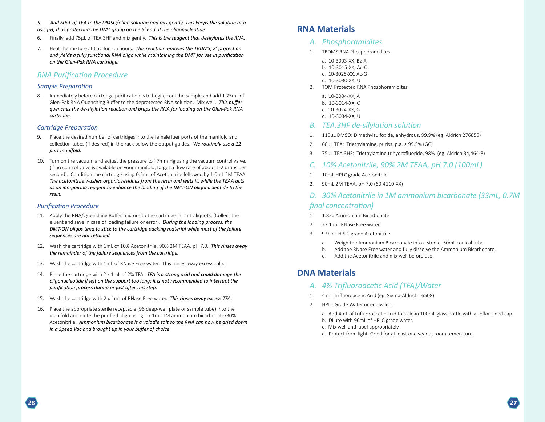- <span id="page-14-0"></span>*5. Add 60µL of TEA to the DMSO/oligo solution and mix gently. This keeps the solution at a asic pH, thus protecting the DMT group on the 5' end of the oligonucleotide.*
- 6. Finally, add 75µL of TEA.3HF and mix gently. *This is the reagent that desilylates the RNA.*
- 7. Heat the mixture at 65C for 2.5 hours. *This reaction removes the TBDMS, 2' protection and yields a fully functional RNA oligo while maintaining the DMT for use in purification on the Glen-Pak RNA cartridge.*

#### *RNA Purification Procedure*

#### *Sample Preparation*

8. Immediately before cartridge purification is to begin, cool the sample and add 1.75mL of Glen-Pak RNA Quenching Buffer to the deprotected RNA solution. Mix well. *This buffer quenches the de-silylation reaction and preps the RNA for loading on the Glen-Pak RNA cartridge.*

#### *Cartridge Preparation*

- 9. Place the desired number of cartridges into the female luer ports of the manifold and collection tubes (if desired) in the rack below the output guides. *We routinely use a 12 port manifold.*
- 10. Turn on the vacuum and adjust the pressure to ~7mm Hg using the vacuum control valve. (If no control valve is available on your manifold, target a flow rate of about 1-2 drops per second). Condition the cartridge using 0.5mL of Acetonitrile followed by 1.0mL 2M TEAA. *The acetonitrile washes organic residues from the resin and wets it, while the TEAA acts as an ion-pairing reagent to enhance the binding of the DMT-ON oligonucleotide to the resin.*

#### *Purification Procedure*

- 11. Apply the RNA/Quenching Buffer mixture to the cartridge in 1mL aliquots. (Collect the eluent and save in case of loading failure or error). *During the loading process, the DMT-ON oligos tend to stick to the cartridge packing material while most of the failure sequences are not retained.*
- 12. Wash the cartridge with 1mL of 10% Acetonitrile, 90% 2M TEAA, pH 7.0. *This rinses away the remainder of the failure sequences from the cartridge.*
- 13. Wash the cartridge with 1mL of RNase Free water. This rinses away excess salts.
- 14. Rinse the cartridge with 2 x 1mL of 2% TFA. *TFA is a strong acid and could damage the oligonucleotide if left on the support too long; it is not recommended to interrupt the purification process during or just after this step.*
- 15. Wash the cartridge with 2 x 1mL of RNase Free water. *This rinses away excess TFA.*
- 16. Place the appropriate sterile receptacle (96 deep-well plate or sample tube) into the manifold and elute the purified oligo using 1 x 1mL 1M ammonium bicarbonate/30% Acetonitrile. *Ammonium bicarbonate is a volatile salt so the RNA can now be dried down in a Speed Vac and brought up in your buffer of choice.*

# **RNA Materials**

#### *A. Phosphoramidites*

- 1. TBDMS RNA Phosphoramidites
	- a. 10-3003-XX, Bz-A
	- b. 10-3015-XX, Ac-C
	- c. 10-3025-XX, Ac-G
	- d. 10-3030-XX, U
- 2. TOM Protected RNA Phosphoramidites
	- a. 10-3004-XX, A
	- b. 10-3014-XX, C
	- c. 10-3024-XX, G
	- d. 10-3034-XX, U

#### *B. TEA.3HF de-silylation solution*

- 1. 115µL DMSO: Dimethylsulfoxide, anhydrous, 99.9% (eg. Aldrich 276855)
- 2. 60µL TEA: Triethylamine, puriss. p.a. ≥ 99.5% (GC)
- 3. 75µL TEA.3HF: Triethylamine trihydrofluoride, 98% (eg. Aldrich 34,464-8)
- *C. 10% Acetonitrile, 90% 2M TEAA, pH 7.0 (100mL)*
- 1. 10mL HPLC grade Acetonitrile
- 2. 90mL 2M TEAA, pH 7.0 (60-4110-XX)
- *D. 30% Acetonitrile in 1M ammonium bicarbonate (33mL, 0.7M final concentration)*
- 1. 1.82g Ammonium Bicarbonate
- 2. 23.1 mL RNase Free water
- 3. 9.9 mL HPLC grade Acetonitrile
	- a. Weigh the Ammonium Bicarbonate into a sterile, 50mL conical tube.
	- b. Add the RNase Free water and fully dissolve the Ammonium Bicarbonate.
	- c. Add the Acetonitrile and mix well before use.

# **DNA Materials**

#### *A. 4% Trifluoroacetic Acid (TFA)/Water*

- 1. 4 mL Trifluoroacetic Acid (eg. Sigma-Aldrich T6508)
- 2. HPLC Grade Water or equivalent.
	- a. Add 4mL of trifluoroacetic acid to a clean 100mL glass bottle with a Teflon lined cap.
	- b. Dilute with 96mL of HPLC grade water.
	- c. Mix well and label appropriately.
	- d. Protect from light. Good for at least one year at room temerature.